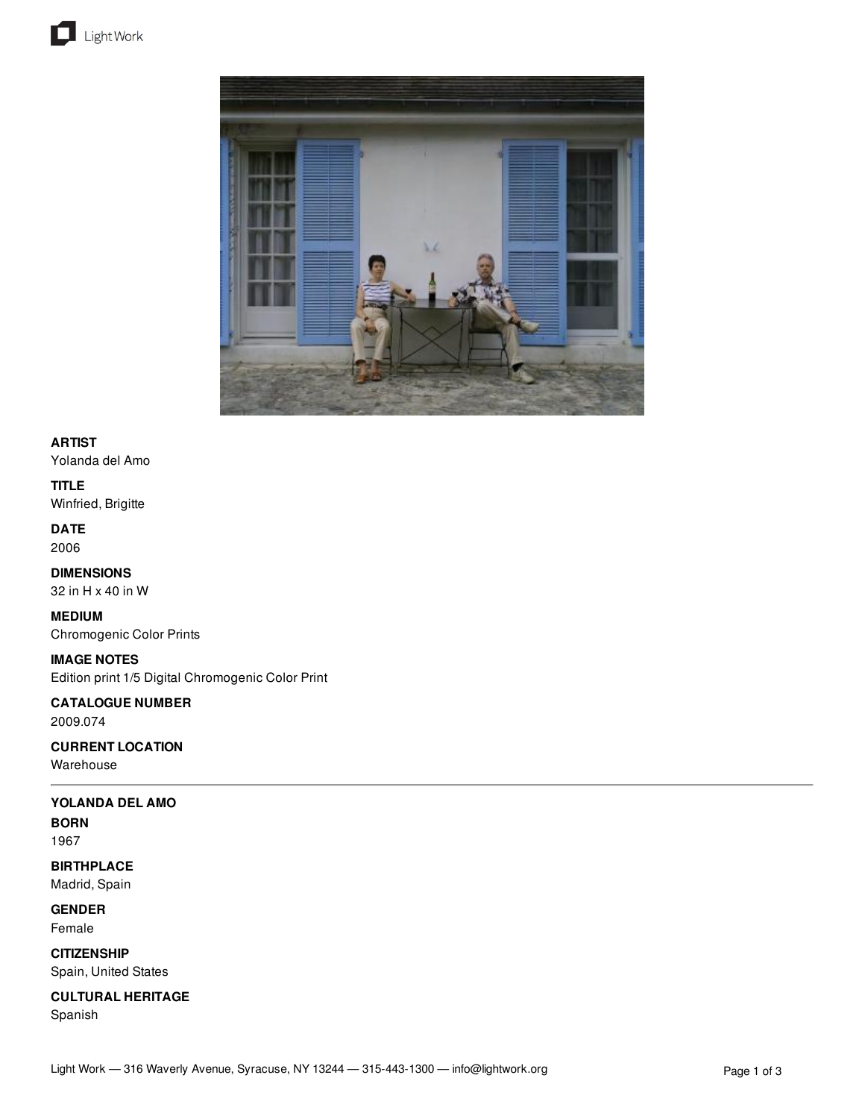



## **ARTIST**

Yolanda del Amo

## **TITLE**

Winfried, Brigitte

#### **DATE** 2006

**DIMENSIONS** 32 in H x 40 in W

### **MEDIUM** Chromogenic Color Prints

**IMAGE NOTES** Edition print 1/5 Digital Chromogenic Color Print

#### **CATALOGUE NUMBER** 2009.074

## **CURRENT LOCATION**

Warehouse

## **YOLANDA DEL AMO**

## **BORN**

1967

## **BIRTHPLACE** Madrid, Spain

**GENDER**

# Female

**CITIZENSHIP** Spain, United States

# **CULTURAL HERITAGE**

Spanish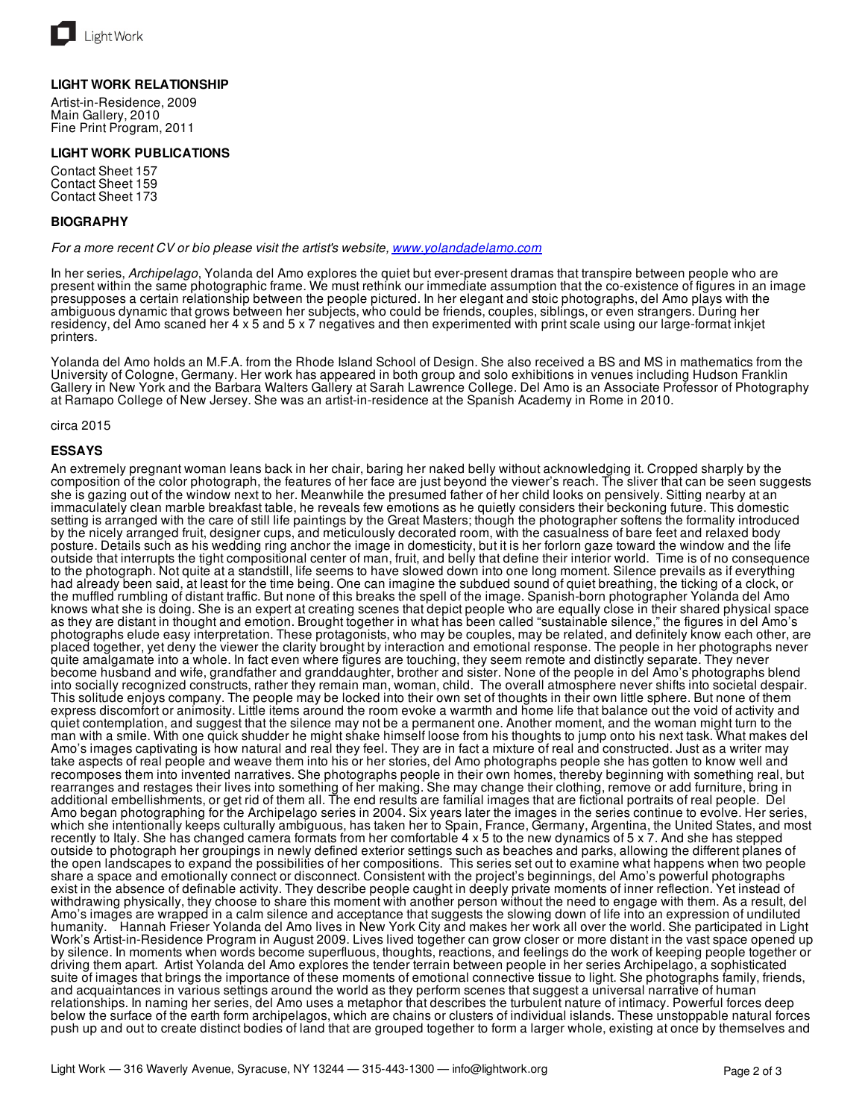

#### **LIGHT WORK RELATIONSHIP**

Artist-in-Residence, 2009 Main Gallery, 2010 Fine Print Program, 2011

#### **LIGHT WORK PUBLICATIONS**

Contact Sheet 157 Contact Sheet 159 Contact Sheet 173

#### **BIOGRAPHY**

*For a more recent CV or bio please visit the artist's website, [www.yolandadelamo.com](http://www.yolandadelamo.com)*

In her series, *Archipelago*, Yolanda del Amo explores the quiet but ever-present dramas that transpire between people who are present within the same photographic frame. We must rethink our immediate assumption that the co-existence of figures in an image presupposes a certain relationship between the people pictured. In her elegant and stoic photographs, del Amo plays with the ambiguous dynamic that grows between her subjects, who could be friends, couples, siblings, or even strangers. During her residency, del Amo scaned her 4 x 5 and 5 x 7 negatives and then experimented with print scale using our large-format inkjet printers.

Yolanda del Amo holds an M.F.A. from the Rhode Island School of Design. She also received a BS and MS in mathematics from the University of Cologne, Germany. Her work has appeared in both group and solo exhibitions in venues including Hudson Franklin Gallery in New York and the Barbara Walters Gallery at Sarah Lawrence College. Del Amo is an Associate Professor of Photography at Ramapo College of New Jersey. She was an artist-in-residence at the Spanish Academy in Rome in 2010.

circa 2015

#### **ESSAYS**

An extremely pregnant woman leans back in her chair, baring her naked belly without acknowledging it. Cropped sharply by the composition of the color photograph, the features of her face are just beyond the viewer's reach. The sliver that can be seen suggests she is gazing out of the window next to her. Meanwhile the presumed father of her child looks on pensively. Sitting nearby at an immaculately clean marble breakfast table, he reveals few emotions as he quietly considers their beckoning future. This domestic setting is arranged with the care of still life paintings by the Great Masters; though the photographer softens the formality introduced by the nicely arranged fruit, designer cups, and meticulously decorated room, with the casualness of bare feet and relaxed body posture. Details such as his wedding ring anchor the image in domesticity, but it is her forlorn gaze toward the window and the life outside that interrupts the tight compositional center of man, fruit, and belly that define their interior world. Time is of no consequence to the photograph. Not quite at a standstill, life seems to have slowed down into one long moment. Silence prevails as if everything had already been said, at least for the time being. One can imagine the subdued sound of quiet breathing, the ticking of a clock, or the muffled rumbling of distant traffic. But none of this breaks the spell of the image. Spanish-born photographer Yolanda del Amo knows what she is doing. She is an expert at creating scenes that depict people who are equally close in their shared physical space as they are distant in thought and emotion. Brought together in what has been called "sustainable silence," the figures in del Amo's photographs elude easy interpretation. These protagonists, who may be couples, may be related, and definitely know each other, are placed together, yet deny the viewer the clarity brought by interaction and emotional response. The people in her photographs never quite amalgamate into a whole. In fact even where figures are touching, they seem remote and distinctly separate. They never become husband and wife, grandfather and granddaughter, brother and sister. None of the people in del Amo's photographs blend into socially recognized constructs, rather they remain man, woman, child. The overall atmosphere never shifts into societal despair. This solitude enjoys company. The people may be locked into their own set of thoughts in their own little sphere. But none of them express discomfort or animosity. Little items around the room evoke a warmth and home life that balance out the void of activity and quiet contemplation, and suggest that the silence may not be a permanent one. Another moment, and the woman might turn to the man with a smile. With one quick shudder he might shake himself loose from his thoughts to jump onto his next task. What makes del Amo's images captivating is how natural and real they feel. They are in fact a mixture of real and constructed. Just as a writer may take aspects of real people and weave them into his or her stories, del Amo photographs people she has gotten to know well and recomposes them into invented narratives. She photographs people in their own homes, thereby beginning with something real, but rearranges and restages their lives into something of her making. She may change their clothing, remove or add furniture, bring in additional embellishments, or get rid of them all. The end results are familial images that are fictional portraits of real people. Del Amo began photographing for the Archipelago series in 2004. Six years later the images in the series continue to evolve. Her series, which she intentionally keeps culturally ambiguous, has taken her to Spain, France, Germany, Argentina, the United States, and most recently to Italy. She has changed camera formats from her comfortable 4 x 5 to the new dynamics of 5 x 7. And she has stepped outside to photograph her groupings in newly defined exterior settings such as beaches and parks, allowing the different planes of the open landscapes to expand the possibilities of her compositions. This series set out to examine what happens when two people share a space and emotionally connect or disconnect. Consistent with the project's beginnings, del Amo's powerful photographs exist in the absence of definable activity. They describe people caught in deeply private moments of inner reflection. Yet instead of withdrawing physically, they choose to share this moment with another person without the need to engage with them. As a result, del Amo's images are wrapped in a calm silence and acceptance that suggests the slowing down of life into an expression of undiluted humanity. Hannah Frieser Yolanda del Amo lives in New York City and makes her work all over the world. She participated in Light Work's Artist-in-Residence Program in August 2009. Lives lived together can grow closer or more distant in the vast space opened up by silence. In moments when words become superfluous, thoughts, reactions, and feelings do the work of keeping people together or driving them apart. Artist Yolanda del Amo explores the tender terrain between people in her series Archipelago, a sophisticated suite of images that brings the importance of these moments of emotional connective tissue to light. She photographs family, friends, and acquaintances in various settings around the world as they perform scenes that suggest a universal narrative of human relationships. In naming her series, del Amo uses a metaphor that describes the turbulent nature of intimacy. Powerful forces deep below the surface of the earth form archipelagos, which are chains or clusters of individual islands. These unstoppable natural forces push up and out to create distinct bodies of land that are grouped together to form a larger whole, existing at once by themselves and